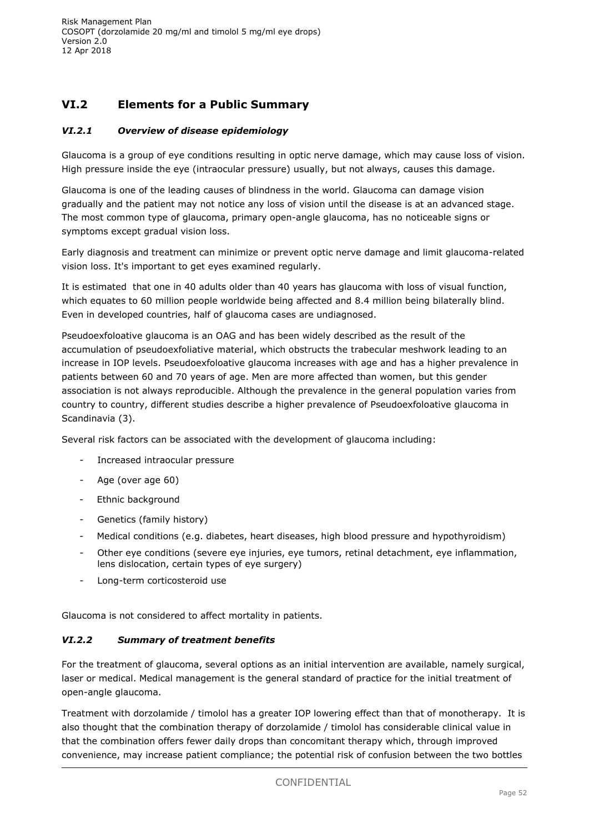# **VI.2 Elements for a Public Summary**

## *VI.2.1 Overview of disease epidemiology*

Glaucoma is a group of eye conditions resulting in optic nerve damage, which may cause loss of vision. High pressure inside the eye (intraocular pressure) usually, but not always, causes this damage.

Glaucoma is one of the leading causes of blindness in the world. Glaucoma can damage vision gradually and the patient may not notice any loss of vision until the disease is at an advanced stage. The most common type of glaucoma, primary open-angle glaucoma, has no noticeable signs or symptoms except gradual vision loss.

Early diagnosis and treatment can minimize or prevent optic nerve damage and limit glaucoma-related vision loss. It's important to get eyes examined regularly.

It is estimated that one in 40 adults older than 40 years has glaucoma with loss of visual function, which equates to 60 million people worldwide being affected and 8.4 million being bilaterally blind. Even in developed countries, half of glaucoma cases are undiagnosed.

Pseudoexfoloative glaucoma is an OAG and has been widely described as the result of the accumulation of pseudoexfoliative material, which obstructs the trabecular meshwork leading to an increase in IOP levels. Pseudoexfoloative glaucoma increases with age and has a higher prevalence in patients between 60 and 70 years of age. Men are more affected than women, but this gender association is not always reproducible. Although the prevalence in the general population varies from country to country, different studies describe a higher prevalence of Pseudoexfoloative glaucoma in Scandinavia (3).

Several risk factors can be associated with the development of glaucoma including:

- Increased intraocular pressure
- Age (over age 60)
- Ethnic background
- Genetics (family history)
- Medical conditions (e.g. diabetes, heart diseases, high blood pressure and hypothyroidism)
- Other eye conditions (severe eye injuries, eye tumors, retinal detachment, eye inflammation, lens dislocation, certain types of eye surgery)
- Long-term corticosteroid use

Glaucoma is not considered to affect mortality in patients.

## *VI.2.2 Summary of treatment benefits*

For the treatment of glaucoma, several options as an initial intervention are available, namely surgical, laser or medical. Medical management is the general standard of practice for the initial treatment of open-angle glaucoma.

Treatment with dorzolamide / timolol has a greater IOP lowering effect than that of monotherapy. It is also thought that the combination therapy of dorzolamide / timolol has considerable clinical value in that the combination offers fewer daily drops than concomitant therapy which, through improved convenience, may increase patient compliance; the potential risk of confusion between the two bottles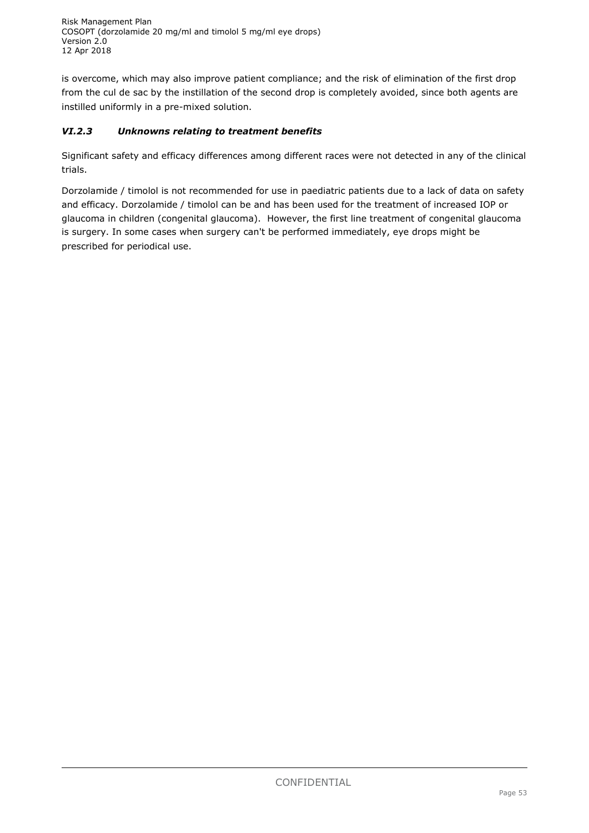is overcome, which may also improve patient compliance; and the risk of elimination of the first drop from the cul de sac by the instillation of the second drop is completely avoided, since both agents are instilled uniformly in a pre-mixed solution.

# *VI.2.3 Unknowns relating to treatment benefits*

Significant safety and efficacy differences among different races were not detected in any of the clinical trials.

Dorzolamide / timolol is not recommended for use in paediatric patients due to a lack of data on safety and efficacy. Dorzolamide / timolol can be and has been used for the treatment of increased IOP or glaucoma in children (congenital glaucoma). However, the first line treatment of congenital glaucoma is surgery. In some cases when surgery can't be performed immediately, eye drops might be prescribed for periodical use.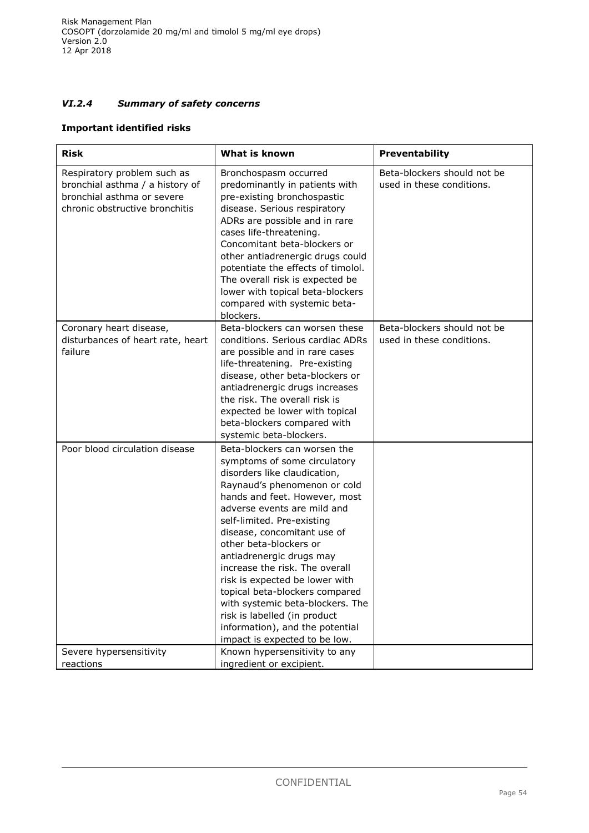# *VI.2.4 Summary of safety concerns*

### **Important identified risks**

| <b>Risk</b>                                                                                                                    | What is known                                                                                                                                                                                                                                                                                                                                                                                                                                                                                                                                                 | Preventability                                           |
|--------------------------------------------------------------------------------------------------------------------------------|---------------------------------------------------------------------------------------------------------------------------------------------------------------------------------------------------------------------------------------------------------------------------------------------------------------------------------------------------------------------------------------------------------------------------------------------------------------------------------------------------------------------------------------------------------------|----------------------------------------------------------|
| Respiratory problem such as<br>bronchial asthma / a history of<br>bronchial asthma or severe<br>chronic obstructive bronchitis | Bronchospasm occurred<br>predominantly in patients with<br>pre-existing bronchospastic<br>disease. Serious respiratory<br>ADRs are possible and in rare<br>cases life-threatening.<br>Concomitant beta-blockers or<br>other antiadrenergic drugs could<br>potentiate the effects of timolol.<br>The overall risk is expected be<br>lower with topical beta-blockers<br>compared with systemic beta-<br>blockers.                                                                                                                                              | Beta-blockers should not be<br>used in these conditions. |
| Coronary heart disease,<br>disturbances of heart rate, heart<br>failure                                                        | Beta-blockers can worsen these<br>conditions. Serious cardiac ADRs<br>are possible and in rare cases<br>life-threatening. Pre-existing<br>disease, other beta-blockers or<br>antiadrenergic drugs increases<br>the risk. The overall risk is<br>expected be lower with topical<br>beta-blockers compared with<br>systemic beta-blockers.                                                                                                                                                                                                                      | Beta-blockers should not be<br>used in these conditions. |
| Poor blood circulation disease                                                                                                 | Beta-blockers can worsen the<br>symptoms of some circulatory<br>disorders like claudication,<br>Raynaud's phenomenon or cold<br>hands and feet. However, most<br>adverse events are mild and<br>self-limited. Pre-existing<br>disease, concomitant use of<br>other beta-blockers or<br>antiadrenergic drugs may<br>increase the risk. The overall<br>risk is expected be lower with<br>topical beta-blockers compared<br>with systemic beta-blockers. The<br>risk is labelled (in product<br>information), and the potential<br>impact is expected to be low. |                                                          |
| Severe hypersensitivity<br>reactions                                                                                           | Known hypersensitivity to any<br>ingredient or excipient.                                                                                                                                                                                                                                                                                                                                                                                                                                                                                                     |                                                          |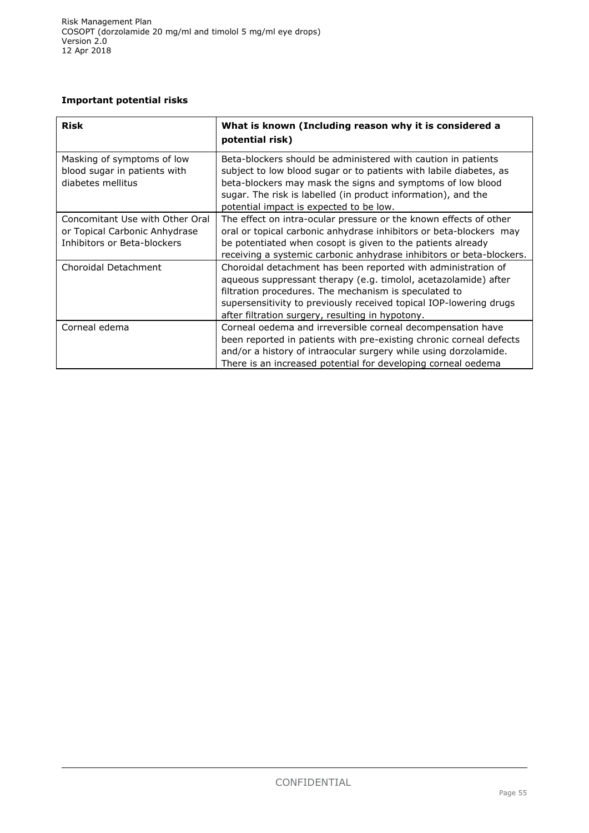## **Important potential risks**

| <b>Risk</b>                                                                                     | What is known (Including reason why it is considered a<br>potential risk)                                                                                                                                                                                                                                           |  |
|-------------------------------------------------------------------------------------------------|---------------------------------------------------------------------------------------------------------------------------------------------------------------------------------------------------------------------------------------------------------------------------------------------------------------------|--|
| Masking of symptoms of low<br>blood sugar in patients with<br>diabetes mellitus                 | Beta-blockers should be administered with caution in patients<br>subject to low blood sugar or to patients with labile diabetes, as<br>beta-blockers may mask the signs and symptoms of low blood<br>sugar. The risk is labelled (in product information), and the<br>potential impact is expected to be low.       |  |
| Concomitant Use with Other Oral<br>or Topical Carbonic Anhydrase<br>Inhibitors or Beta-blockers | The effect on intra-ocular pressure or the known effects of other<br>oral or topical carbonic anhydrase inhibitors or beta-blockers may<br>be potentiated when cosopt is given to the patients already<br>receiving a systemic carbonic anhydrase inhibitors or beta-blockers.                                      |  |
| Choroidal Detachment                                                                            | Choroidal detachment has been reported with administration of<br>aqueous suppressant therapy (e.g. timolol, acetazolamide) after<br>filtration procedures. The mechanism is speculated to<br>supersensitivity to previously received topical IOP-lowering drugs<br>after filtration surgery, resulting in hypotony. |  |
| Corneal edema                                                                                   | Corneal oedema and irreversible corneal decompensation have<br>been reported in patients with pre-existing chronic corneal defects<br>and/or a history of intraocular surgery while using dorzolamide.<br>There is an increased potential for developing corneal oedema                                             |  |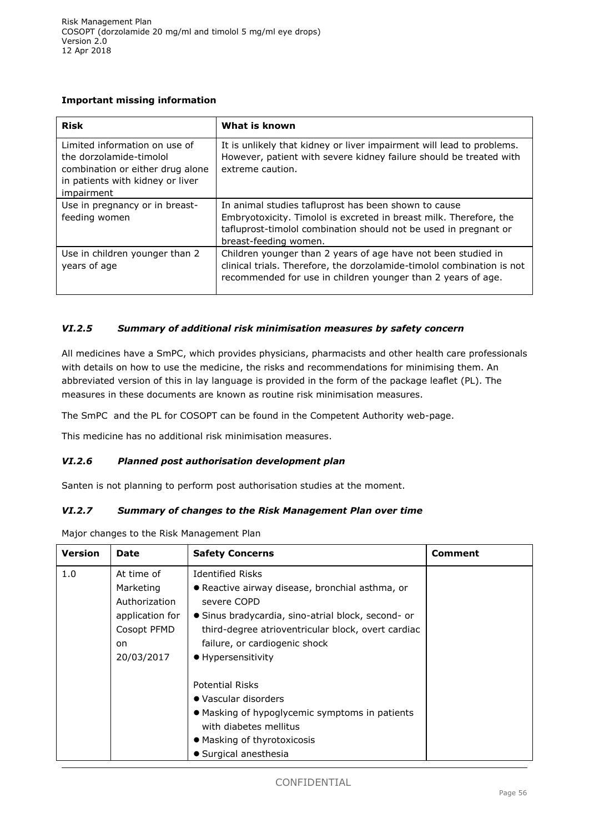## **Important missing information**

| <b>Risk</b>                                                                                                                                    | What is known                                                                                                                                                                                                           |
|------------------------------------------------------------------------------------------------------------------------------------------------|-------------------------------------------------------------------------------------------------------------------------------------------------------------------------------------------------------------------------|
| Limited information on use of<br>the dorzolamide-timolol<br>combination or either drug alone<br>in patients with kidney or liver<br>impairment | It is unlikely that kidney or liver impairment will lead to problems.<br>However, patient with severe kidney failure should be treated with<br>extreme caution.                                                         |
| Use in pregnancy or in breast-<br>feeding women                                                                                                | In animal studies tafluprost has been shown to cause<br>Embryotoxicity. Timolol is excreted in breast milk. Therefore, the<br>tafluprost-timolol combination should not be used in pregnant or<br>breast-feeding women. |
| Use in children younger than 2<br>years of age                                                                                                 | Children younger than 2 years of age have not been studied in<br>clinical trials. Therefore, the dorzolamide-timolol combination is not<br>recommended for use in children younger than 2 years of age.                 |

### *VI.2.5 Summary of additional risk minimisation measures by safety concern*

All medicines have a SmPC, which provides physicians, pharmacists and other health care professionals with details on how to use the medicine, the risks and recommendations for minimising them. An abbreviated version of this in lay language is provided in the form of the package leaflet (PL). The measures in these documents are known as routine risk minimisation measures.

The SmPC and the PL for COSOPT can be found in the Competent Authority web-page.

This medicine has no additional risk minimisation measures.

### *VI.2.6 Planned post authorisation development plan*

Santen is not planning to perform post authorisation studies at the moment.

### *VI.2.7 Summary of changes to the Risk Management Plan over time*

Major changes to the Risk Management Plan

| <b>Version</b> | <b>Date</b>                                                                                    | <b>Safety Concerns</b>                                                                                                                                                                                                                                       | Comment |
|----------------|------------------------------------------------------------------------------------------------|--------------------------------------------------------------------------------------------------------------------------------------------------------------------------------------------------------------------------------------------------------------|---------|
| 1.0            | At time of<br>Marketing<br>Authorization<br>application for<br>Cosopt PFMD<br>on<br>20/03/2017 | <b>Identified Risks</b><br>• Reactive airway disease, bronchial asthma, or<br>severe COPD<br>• Sinus bradycardia, sino-atrial block, second- or<br>third-degree atrioventricular block, overt cardiac<br>failure, or cardiogenic shock<br>• Hypersensitivity |         |
|                |                                                                                                | <b>Potential Risks</b><br>• Vascular disorders<br>• Masking of hypoglycemic symptoms in patients<br>with diabetes mellitus<br>• Masking of thyrotoxicosis<br>• Surgical anesthesia                                                                           |         |